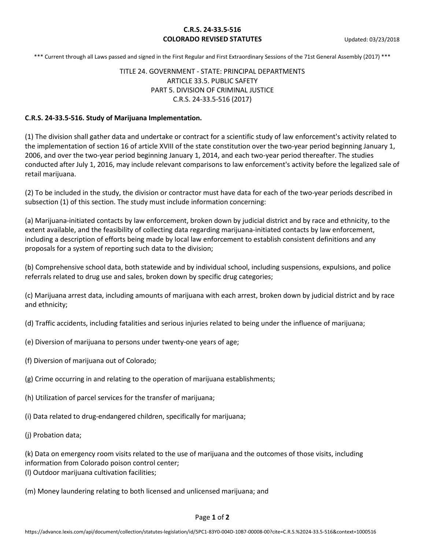### **C.R.S. 24-33.5-516 COLORADO REVISED STATUTES** Updated: 03/23/2018

\*\*\* Current through all Laws passed and signed in the First Regular and First Extraordinary Sessions of the 71st General Assembly (2017) \*\*\*

## TITLE 24. GOVERNMENT - STATE: PRINCIPAL DEPARTMENTS ARTICLE 33.5. PUBLIC SAFETY PART 5. DIVISION OF CRIMINAL JUSTICE C.R.S. 24-33.5-516 (2017)

### **C.R.S. 24-33.5-516. Study of Marijuana Implementation.**

(1) The division shall gather data and undertake or contract for a scientific study of law enforcement's activity related to the implementation of section 16 of article XVIII of the state constitution over the two-year period beginning January 1, 2006, and over the two-year period beginning January 1, 2014, and each two-year period thereafter. The studies conducted after July 1, 2016, may include relevant comparisons to law enforcement's activity before the legalized sale of retail marijuana.

(2) To be included in the study, the division or contractor must have data for each of the two-year periods described in subsection (1) of this section. The study must include information concerning:

(a) Marijuana-initiated contacts by law enforcement, broken down by judicial district and by race and ethnicity, to the extent available, and the feasibility of collecting data regarding marijuana-initiated contacts by law enforcement, including a description of efforts being made by local law enforcement to establish consistent definitions and any proposals for a system of reporting such data to the division;

(b) Comprehensive school data, both statewide and by individual school, including suspensions, expulsions, and police referrals related to drug use and sales, broken down by specific drug categories;

(c) Marijuana arrest data, including amounts of marijuana with each arrest, broken down by judicial district and by race and ethnicity;

(d) Traffic accidents, including fatalities and serious injuries related to being under the influence of marijuana;

- (e) Diversion of marijuana to persons under twenty-one years of age;
- (f) Diversion of marijuana out of Colorado;
- (g) Crime occurring in and relating to the operation of marijuana establishments;
- (h) Utilization of parcel services for the transfer of marijuana;
- (i) Data related to drug-endangered children, specifically for marijuana;
- (j) Probation data;

(k) Data on emergency room visits related to the use of marijuana and the outcomes of those visits, including information from Colorado poison control center; (l) Outdoor marijuana cultivation facilities;

(m) Money laundering relating to both licensed and unlicensed marijuana; and

#### Page **1** of **2**